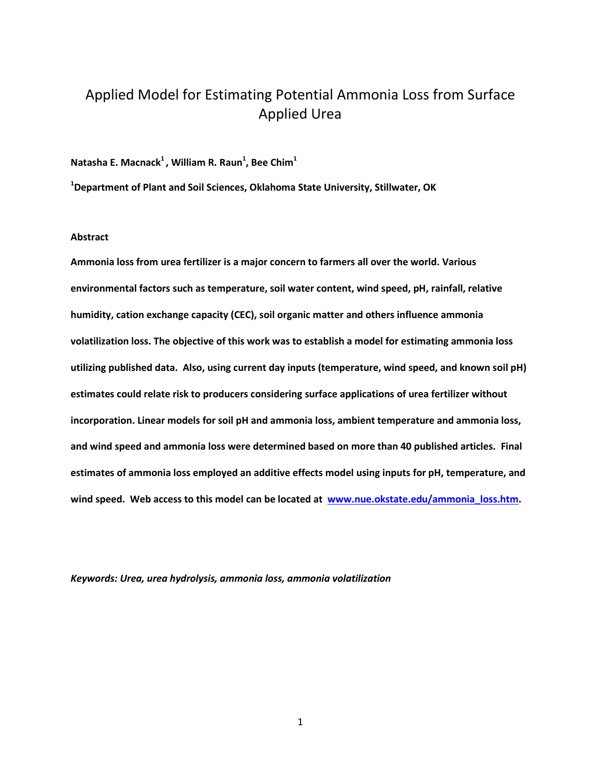# Applied Model for Estimating Potential Ammonia Loss from Surface Applied Urea

**Natasha E. Macnack<sup>1</sup> , William R. Raun<sup>1</sup> , Bee Chim<sup>1</sup>**

**<sup>1</sup>Department of Plant and Soil Sciences, Oklahoma State University, Stillwater, OK**

# **Abstract**

**Ammonia loss from urea fertilizer is a major concern to farmers all over the world. Various environmental factors such as temperature, soil water content, wind speed, pH, rainfall, relative humidity, cation exchange capacity (CEC), soil organic matter and others influence ammonia volatilization loss. The objective of this work was to establish a model for estimating ammonia loss utilizing published data. Also, using current day inputs (temperature, wind speed, and known soil pH) estimates could relate risk to producers considering surface applications of urea fertilizer without incorporation. Linear models for soil pH and ammonia loss, ambient temperature and ammonia loss, and wind speed and ammonia loss were determined based on more than 40 published articles. Final estimates of ammonia loss employed an additive effects model using inputs for pH, temperature, and wind speed. Web access to this model can be located at [www.nue.okstate.edu/ammonia\\_loss.htm.](http://www.nue.okstate.edu/ammonia_loss.htm)** 

*Keywords: Urea, urea hydrolysis, ammonia loss, ammonia volatilization*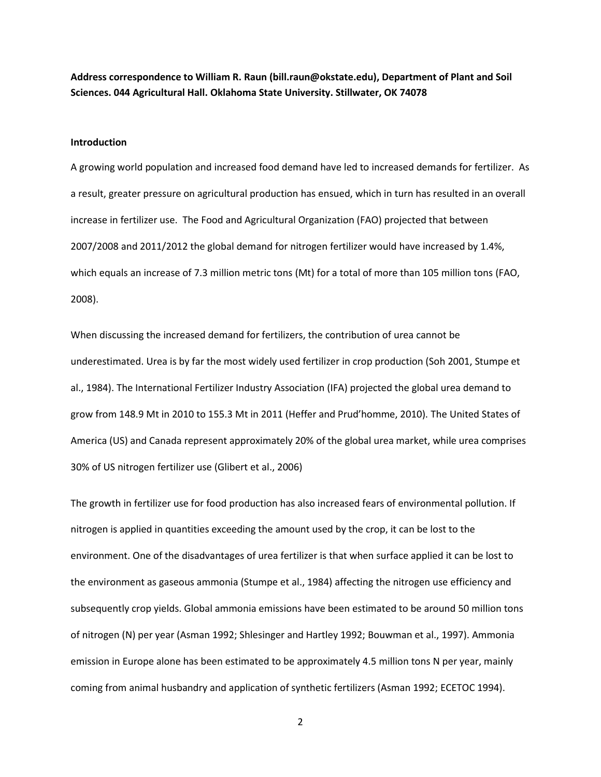**Address correspondence to William R. Raun (bill.raun@okstate.edu), Department of Plant and Soil Sciences. 044 Agricultural Hall. Oklahoma State University. Stillwater, OK 74078**

#### **Introduction**

A growing world population and increased food demand have led to increased demands for fertilizer. As a result, greater pressure on agricultural production has ensued, which in turn has resulted in an overall increase in fertilizer use. The Food and Agricultural Organization (FAO) projected that between 2007/2008 and 2011/2012 the global demand for nitrogen fertilizer would have increased by 1.4%, which equals an increase of 7.3 million metric tons (Mt) for a total of more than 105 million tons (FAO, 2008).

When discussing the increased demand for fertilizers, the contribution of urea cannot be underestimated. Urea is by far the most widely used fertilizer in crop production (Soh 2001, Stumpe et al., 1984). The International Fertilizer Industry Association (IFA) projected the global urea demand to grow from 148.9 Mt in 2010 to 155.3 Mt in 2011 (Heffer and Prud'homme, 2010). The United States of America (US) and Canada represent approximately 20% of the global urea market, while urea comprises 30% of US nitrogen fertilizer use (Glibert et al., 2006)

The growth in fertilizer use for food production has also increased fears of environmental pollution. If nitrogen is applied in quantities exceeding the amount used by the crop, it can be lost to the environment. One of the disadvantages of urea fertilizer is that when surface applied it can be lost to the environment as gaseous ammonia (Stumpe et al., 1984) affecting the nitrogen use efficiency and subsequently crop yields. Global ammonia emissions have been estimated to be around 50 million tons of nitrogen (N) per year (Asman 1992; Shlesinger and Hartley 1992; Bouwman et al., 1997). Ammonia emission in Europe alone has been estimated to be approximately 4.5 million tons N per year, mainly coming from animal husbandry and application of synthetic fertilizers (Asman 1992; ECETOC 1994).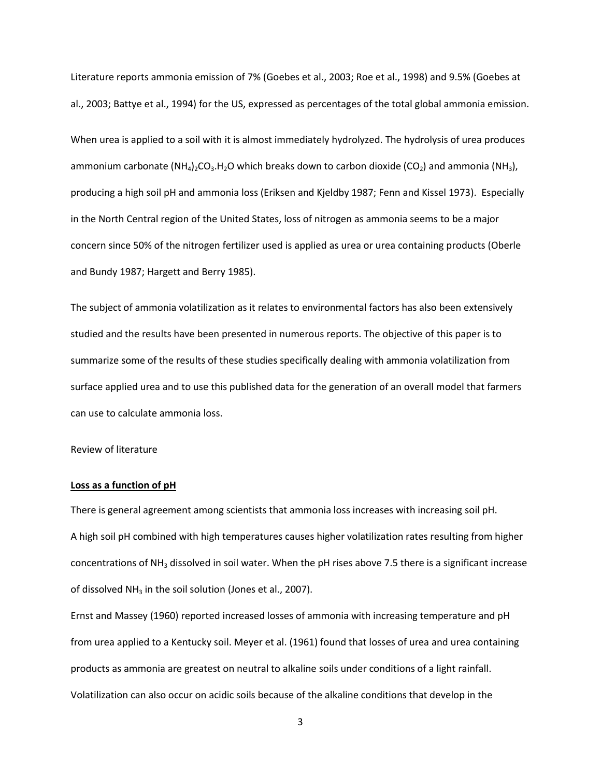Literature reports ammonia emission of 7% (Goebes et al., 2003; Roe et al., 1998) and 9.5% (Goebes at al., 2003; Battye et al., 1994) for the US, expressed as percentages of the total global ammonia emission.

When urea is applied to a soil with it is almost immediately hydrolyzed. The hydrolysis of urea produces ammonium carbonate  $(NH_4)_2CO_3.H_2O$  which breaks down to carbon dioxide  $(CO_2)$  and ammonia  $(NH_3)$ , producing a high soil pH and ammonia loss (Eriksen and Kjeldby 1987; Fenn and Kissel 1973). Especially in the North Central region of the United States, loss of nitrogen as ammonia seems to be a major concern since 50% of the nitrogen fertilizer used is applied as urea or urea containing products (Oberle and Bundy 1987; Hargett and Berry 1985).

The subject of ammonia volatilization as it relates to environmental factors has also been extensively studied and the results have been presented in numerous reports. The objective of this paper is to summarize some of the results of these studies specifically dealing with ammonia volatilization from surface applied urea and to use this published data for the generation of an overall model that farmers can use to calculate ammonia loss.

Review of literature

#### **Loss as a function of pH**

There is general agreement among scientists that ammonia loss increases with increasing soil pH. A high soil pH combined with high temperatures causes higher volatilization rates resulting from higher concentrations of  $NH<sub>3</sub>$  dissolved in soil water. When the pH rises above 7.5 there is a significant increase of dissolved  $NH<sub>3</sub>$  in the soil solution (Jones et al., 2007).

Ernst and Massey (1960) reported increased losses of ammonia with increasing temperature and pH from urea applied to a Kentucky soil. Meyer et al. (1961) found that losses of urea and urea containing products as ammonia are greatest on neutral to alkaline soils under conditions of a light rainfall. Volatilization can also occur on acidic soils because of the alkaline conditions that develop in the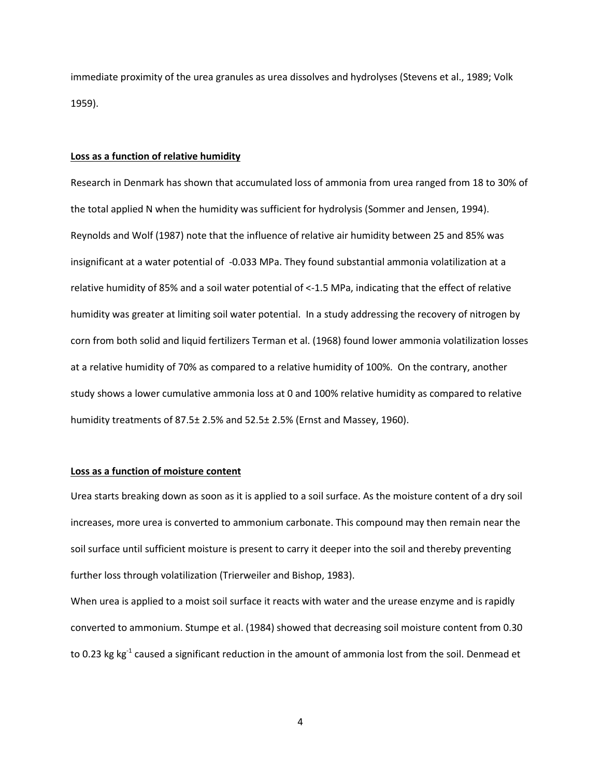immediate proximity of the urea granules as urea dissolves and hydrolyses (Stevens et al., 1989; Volk 1959).

## **Loss as a function of relative humidity**

Research in Denmark has shown that accumulated loss of ammonia from urea ranged from 18 to 30% of the total applied N when the humidity was sufficient for hydrolysis (Sommer and Jensen, 1994). Reynolds and Wolf (1987) note that the influence of relative air humidity between 25 and 85% was insignificant at a water potential of -0.033 MPa. They found substantial ammonia volatilization at a relative humidity of 85% and a soil water potential of <-1.5 MPa, indicating that the effect of relative humidity was greater at limiting soil water potential. In a study addressing the recovery of nitrogen by corn from both solid and liquid fertilizers Terman et al. (1968) found lower ammonia volatilization losses at a relative humidity of 70% as compared to a relative humidity of 100%. On the contrary, another study shows a lower cumulative ammonia loss at 0 and 100% relative humidity as compared to relative humidity treatments of 87.5± 2.5% and 52.5± 2.5% (Ernst and Massey, 1960).

## **Loss as a function of moisture content**

Urea starts breaking down as soon as it is applied to a soil surface. As the moisture content of a dry soil increases, more urea is converted to ammonium carbonate. This compound may then remain near the soil surface until sufficient moisture is present to carry it deeper into the soil and thereby preventing further loss through volatilization (Trierweiler and Bishop, 1983).

When urea is applied to a moist soil surface it reacts with water and the urease enzyme and is rapidly converted to ammonium. Stumpe et al. (1984) showed that decreasing soil moisture content from 0.30 to 0.23 kg kg<sup>-1</sup> caused a significant reduction in the amount of ammonia lost from the soil. Denmead et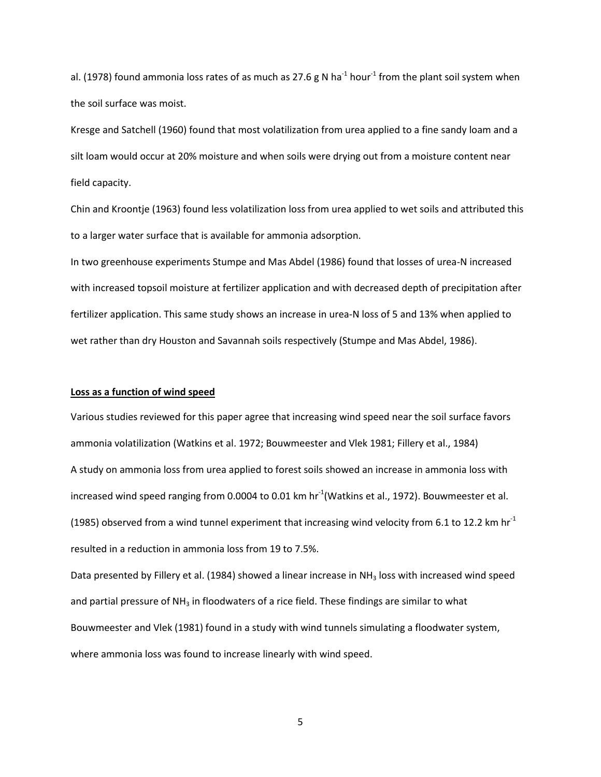al. (1978) found ammonia loss rates of as much as 27.6 g N ha<sup>-1</sup> hour<sup>-1</sup> from the plant soil system when the soil surface was moist.

Kresge and Satchell (1960) found that most volatilization from urea applied to a fine sandy loam and a silt loam would occur at 20% moisture and when soils were drying out from a moisture content near field capacity.

Chin and Kroontje (1963) found less volatilization loss from urea applied to wet soils and attributed this to a larger water surface that is available for ammonia adsorption.

In two greenhouse experiments Stumpe and Mas Abdel (1986) found that losses of urea-N increased with increased topsoil moisture at fertilizer application and with decreased depth of precipitation after fertilizer application. This same study shows an increase in urea-N loss of 5 and 13% when applied to wet rather than dry Houston and Savannah soils respectively (Stumpe and Mas Abdel, 1986).

### **Loss as a function of wind speed**

Various studies reviewed for this paper agree that increasing wind speed near the soil surface favors ammonia volatilization (Watkins et al. 1972; Bouwmeester and Vlek 1981; Fillery et al., 1984) A study on ammonia loss from urea applied to forest soils showed an increase in ammonia loss with increased wind speed ranging from 0.0004 to 0.01 km hr<sup>-1</sup>(Watkins et al., 1972). Bouwmeester et al. (1985) observed from a wind tunnel experiment that increasing wind velocity from 6.1 to 12.2 km hr<sup>-1</sup> resulted in a reduction in ammonia loss from 19 to 7.5%.

Data presented by Fillery et al. (1984) showed a linear increase in NH<sub>3</sub> loss with increased wind speed and partial pressure of  $NH<sub>3</sub>$  in floodwaters of a rice field. These findings are similar to what Bouwmeester and Vlek (1981) found in a study with wind tunnels simulating a floodwater system, where ammonia loss was found to increase linearly with wind speed.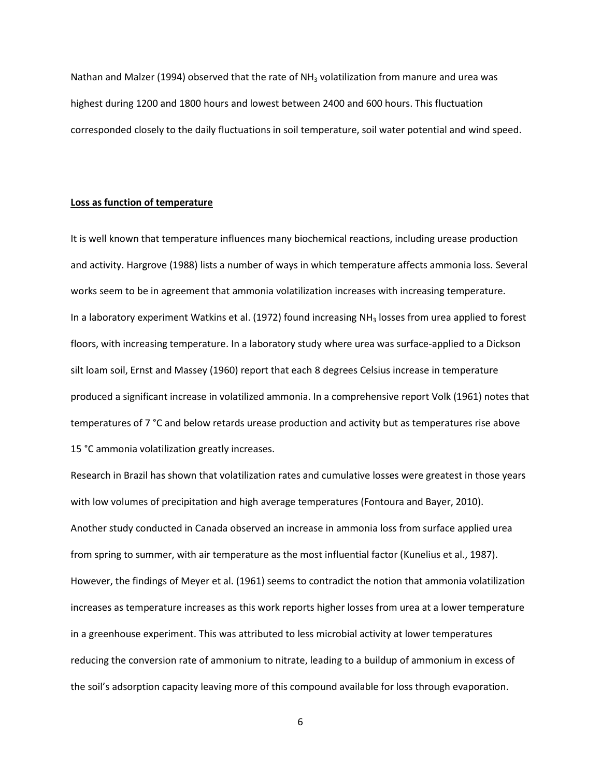Nathan and Malzer (1994) observed that the rate of  $NH<sub>3</sub>$  volatilization from manure and urea was highest during 1200 and 1800 hours and lowest between 2400 and 600 hours. This fluctuation corresponded closely to the daily fluctuations in soil temperature, soil water potential and wind speed.

#### **Loss as function of temperature**

It is well known that temperature influences many biochemical reactions, including urease production and activity. Hargrove (1988) lists a number of ways in which temperature affects ammonia loss. Several works seem to be in agreement that ammonia volatilization increases with increasing temperature. In a laboratory experiment Watkins et al. (1972) found increasing NH<sub>3</sub> losses from urea applied to forest floors, with increasing temperature. In a laboratory study where urea was surface-applied to a Dickson silt loam soil, Ernst and Massey (1960) report that each 8 degrees Celsius increase in temperature produced a significant increase in volatilized ammonia. In a comprehensive report Volk (1961) notes that temperatures of 7 °C and below retards urease production and activity but as temperatures rise above 15 °C ammonia volatilization greatly increases.

Research in Brazil has shown that volatilization rates and cumulative losses were greatest in those years with low volumes of precipitation and high average temperatures (Fontoura and Bayer, 2010). Another study conducted in Canada observed an increase in ammonia loss from surface applied urea from spring to summer, with air temperature as the most influential factor (Kunelius et al., 1987). However, the findings of Meyer et al. (1961) seems to contradict the notion that ammonia volatilization increases as temperature increases as this work reports higher losses from urea at a lower temperature in a greenhouse experiment. This was attributed to less microbial activity at lower temperatures reducing the conversion rate of ammonium to nitrate, leading to a buildup of ammonium in excess of the soil's adsorption capacity leaving more of this compound available for loss through evaporation.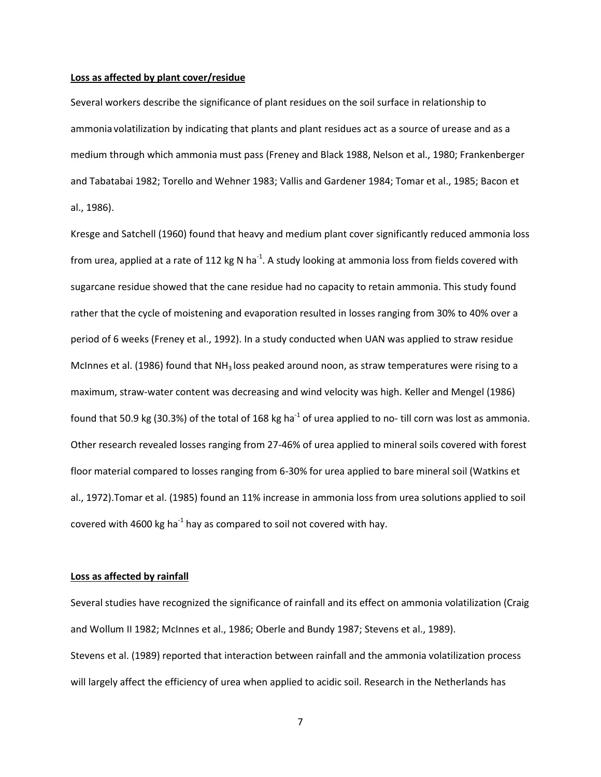#### **Loss as affected by plant cover/residue**

Several workers describe the significance of plant residues on the soil surface in relationship to ammonia volatilization by indicating that plants and plant residues act as a source of urease and as a medium through which ammonia must pass (Freney and Black 1988, Nelson et al., 1980; Frankenberger and Tabatabai 1982; Torello and Wehner 1983; Vallis and Gardener 1984; Tomar et al., 1985; Bacon et al., 1986).

Kresge and Satchell (1960) found that heavy and medium plant cover significantly reduced ammonia loss from urea, applied at a rate of 112 kg N ha<sup>-1</sup>. A study looking at ammonia loss from fields covered with sugarcane residue showed that the cane residue had no capacity to retain ammonia. This study found rather that the cycle of moistening and evaporation resulted in losses ranging from 30% to 40% over a period of 6 weeks (Freney et al., 1992). In a study conducted when UAN was applied to straw residue McInnes et al. (1986) found that  $NH<sub>3</sub>$  loss peaked around noon, as straw temperatures were rising to a maximum, straw-water content was decreasing and wind velocity was high. Keller and Mengel (1986) found that 50.9 kg (30.3%) of the total of 168 kg ha<sup>-1</sup> of urea applied to no- till corn was lost as ammonia. Other research revealed losses ranging from 27-46% of urea applied to mineral soils covered with forest floor material compared to losses ranging from 6-30% for urea applied to bare mineral soil (Watkins et al., 1972).Tomar et al. (1985) found an 11% increase in ammonia loss from urea solutions applied to soil covered with 4600 kg ha<sup>-1</sup> hay as compared to soil not covered with hay.

# **Loss as affected by rainfall**

Several studies have recognized the significance of rainfall and its effect on ammonia volatilization (Craig and Wollum II 1982; McInnes et al., 1986; Oberle and Bundy 1987; Stevens et al., 1989). Stevens et al. (1989) reported that interaction between rainfall and the ammonia volatilization process will largely affect the efficiency of urea when applied to acidic soil. Research in the Netherlands has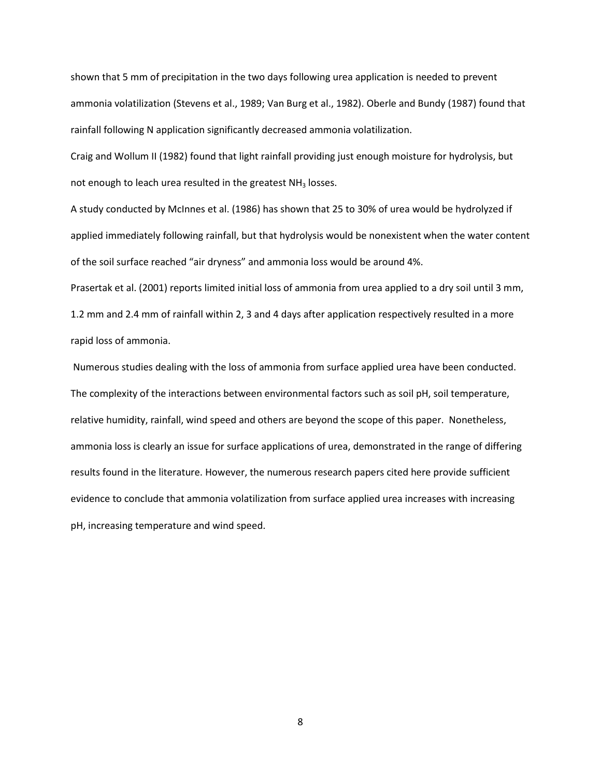shown that 5 mm of precipitation in the two days following urea application is needed to prevent ammonia volatilization (Stevens et al., 1989; Van Burg et al., 1982). Oberle and Bundy (1987) found that rainfall following N application significantly decreased ammonia volatilization.

Craig and Wollum II (1982) found that light rainfall providing just enough moisture for hydrolysis, but not enough to leach urea resulted in the greatest  $NH<sub>3</sub>$  losses.

A study conducted by McInnes et al. (1986) has shown that 25 to 30% of urea would be hydrolyzed if applied immediately following rainfall, but that hydrolysis would be nonexistent when the water content of the soil surface reached "air dryness" and ammonia loss would be around 4%.

Prasertak et al. (2001) reports limited initial loss of ammonia from urea applied to a dry soil until 3 mm, 1.2 mm and 2.4 mm of rainfall within 2, 3 and 4 days after application respectively resulted in a more rapid loss of ammonia.

Numerous studies dealing with the loss of ammonia from surface applied urea have been conducted. The complexity of the interactions between environmental factors such as soil pH, soil temperature, relative humidity, rainfall, wind speed and others are beyond the scope of this paper. Nonetheless, ammonia loss is clearly an issue for surface applications of urea, demonstrated in the range of differing results found in the literature. However, the numerous research papers cited here provide sufficient evidence to conclude that ammonia volatilization from surface applied urea increases with increasing pH, increasing temperature and wind speed.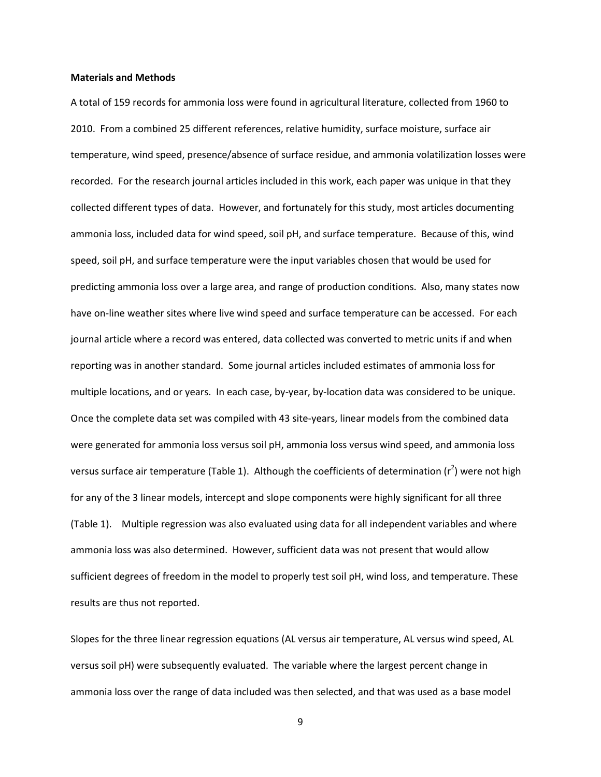#### **Materials and Methods**

A total of 159 records for ammonia loss were found in agricultural literature, collected from 1960 to 2010. From a combined 25 different references, relative humidity, surface moisture, surface air temperature, wind speed, presence/absence of surface residue, and ammonia volatilization losses were recorded. For the research journal articles included in this work, each paper was unique in that they collected different types of data. However, and fortunately for this study, most articles documenting ammonia loss, included data for wind speed, soil pH, and surface temperature. Because of this, wind speed, soil pH, and surface temperature were the input variables chosen that would be used for predicting ammonia loss over a large area, and range of production conditions. Also, many states now have on-line weather sites where live wind speed and surface temperature can be accessed. For each journal article where a record was entered, data collected was converted to metric units if and when reporting was in another standard. Some journal articles included estimates of ammonia loss for multiple locations, and or years. In each case, by-year, by-location data was considered to be unique. Once the complete data set was compiled with 43 site-years, linear models from the combined data were generated for ammonia loss versus soil pH, ammonia loss versus wind speed, and ammonia loss versus surface air temperature (Table 1). Although the coefficients of determination (r<sup>2</sup>) were not high for any of the 3 linear models, intercept and slope components were highly significant for all three (Table 1). Multiple regression was also evaluated using data for all independent variables and where ammonia loss was also determined. However, sufficient data was not present that would allow sufficient degrees of freedom in the model to properly test soil pH, wind loss, and temperature. These results are thus not reported.

Slopes for the three linear regression equations (AL versus air temperature, AL versus wind speed, AL versus soil pH) were subsequently evaluated. The variable where the largest percent change in ammonia loss over the range of data included was then selected, and that was used as a base model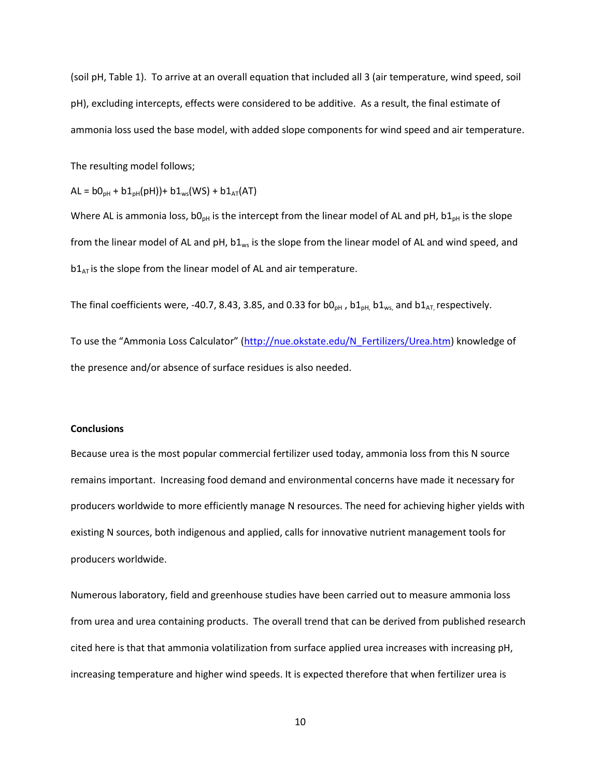(soil pH, Table 1). To arrive at an overall equation that included all 3 (air temperature, wind speed, soil pH), excluding intercepts, effects were considered to be additive. As a result, the final estimate of ammonia loss used the base model, with added slope components for wind speed and air temperature.

The resulting model follows;

 $AL = b0_{pH} + b1_{pH}(pH)) + b1_{ws}(WS) + b1_{AT}(AT)$ 

Where AL is ammonia loss,  $b0_{ph}$  is the intercept from the linear model of AL and pH,  $b1_{ph}$  is the slope from the linear model of AL and pH,  $b1_{ws}$  is the slope from the linear model of AL and wind speed, and  $b1<sub>AT</sub>$  is the slope from the linear model of AL and air temperature.

The final coefficients were, -40.7, 8.43, 3.85, and 0.33 for b0<sub>pH</sub>, b1<sub>pH</sub>, b1<sub>ws,</sub> and b1<sub>AT</sub>, respectively.

To use the "Ammonia Loss Calculator" ([http://nue.okstate.edu/N\\_Fertilizers/Urea.htm\)](http://nue.okstate.edu/N_Fertilizers/Urea.htm) knowledge of the presence and/or absence of surface residues is also needed.

# **Conclusions**

Because urea is the most popular commercial fertilizer used today, ammonia loss from this N source remains important. Increasing food demand and environmental concerns have made it necessary for producers worldwide to more efficiently manage N resources. The need for achieving higher yields with existing N sources, both indigenous and applied, calls for innovative nutrient management tools for producers worldwide.

Numerous laboratory, field and greenhouse studies have been carried out to measure ammonia loss from urea and urea containing products. The overall trend that can be derived from published research cited here is that that ammonia volatilization from surface applied urea increases with increasing pH, increasing temperature and higher wind speeds. It is expected therefore that when fertilizer urea is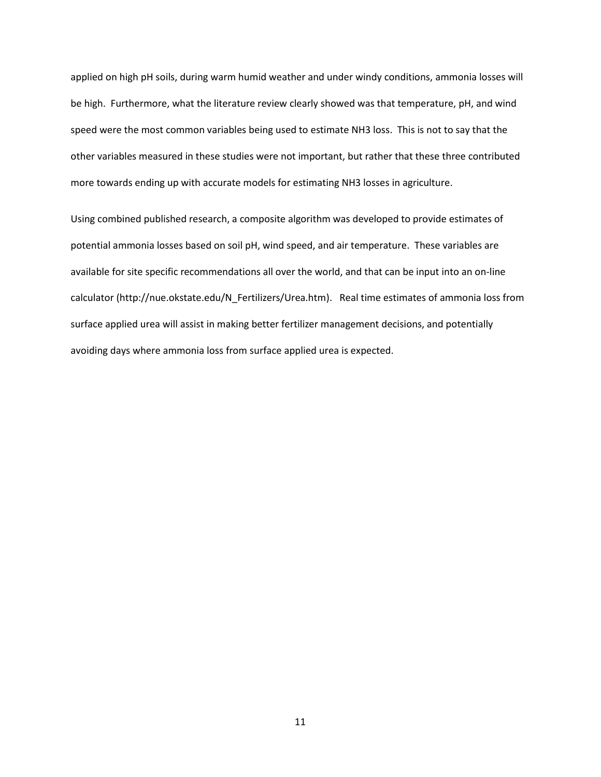applied on high pH soils, during warm humid weather and under windy conditions, ammonia losses will be high. Furthermore, what the literature review clearly showed was that temperature, pH, and wind speed were the most common variables being used to estimate NH3 loss. This is not to say that the other variables measured in these studies were not important, but rather that these three contributed more towards ending up with accurate models for estimating NH3 losses in agriculture.

Using combined published research, a composite algorithm was developed to provide estimates of potential ammonia losses based on soil pH, wind speed, and air temperature. These variables are available for site specific recommendations all over the world, and that can be input into an on-line calculator (http://nue.okstate.edu/N\_Fertilizers/Urea.htm). Real time estimates of ammonia loss from surface applied urea will assist in making better fertilizer management decisions, and potentially avoiding days where ammonia loss from surface applied urea is expected.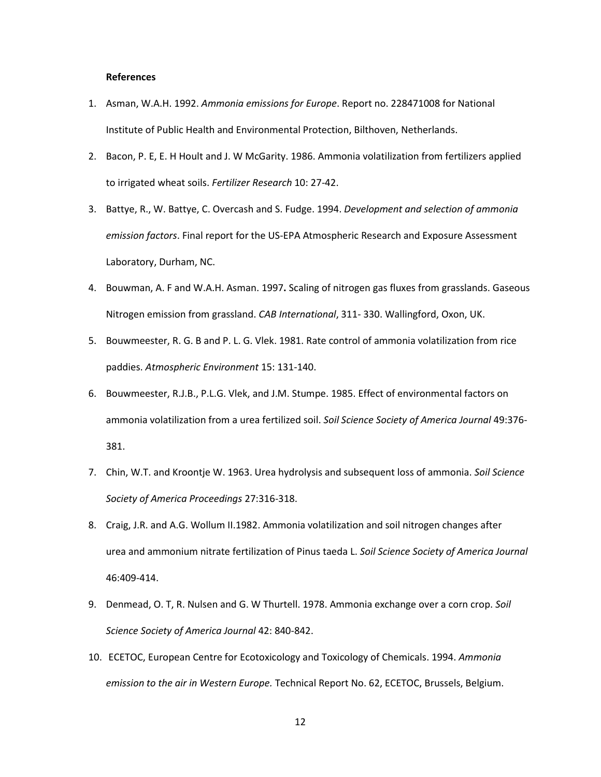#### **References**

- 1. Asman, W.A.H. 1992. *Ammonia emissions for Europe*. Report no. 228471008 for National Institute of Public Health and Environmental Protection, Bilthoven, Netherlands.
- 2. Bacon, P. E, E. H Hoult and J. W McGarity. 1986. Ammonia volatilization from fertilizers applied to irrigated wheat soils. *Fertilizer Research* 10: 27-42.
- 3. Battye, R., W. Battye, C. Overcash and S. Fudge. 1994. *Development and selection of ammonia emission factors*. Final report for the US-EPA Atmospheric Research and Exposure Assessment Laboratory, Durham, NC.
- 4. Bouwman, A. F and W.A.H. Asman. 1997**.** Scaling of nitrogen gas fluxes from grasslands. Gaseous Nitrogen emission from grassland. *CAB International*, 311- 330. Wallingford, Oxon, UK.
- 5. Bouwmeester, R. G. B and P. L. G. Vlek. 1981. Rate control of ammonia volatilization from rice paddies. *Atmospheric Environment* 15: 131-140.
- 6. Bouwmeester, R.J.B., P.L.G. Vlek, and J.M. Stumpe. 1985. Effect of environmental factors on ammonia volatilization from a urea fertilized soil. *Soil Science Society of America Journal* 49:376- 381.
- 7. Chin, W.T. and Kroontje W. 1963. Urea hydrolysis and subsequent loss of ammonia. *Soil Science Society of America Proceedings* 27:316-318.
- 8. Craig, J.R. and A.G. Wollum II.1982. Ammonia volatilization and soil nitrogen changes after urea and ammonium nitrate fertilization of Pinus taeda L. *Soil Science Society of America Journal* 46:409-414.
- 9. Denmead, O. T, R. Nulsen and G. W Thurtell. 1978. Ammonia exchange over a corn crop. *Soil Science Society of America Journal* 42: 840-842.
- 10. ECETOC, European Centre for Ecotoxicology and Toxicology of Chemicals. 1994. *Ammonia emission to the air in Western Europe.* Technical Report No. 62, ECETOC, Brussels, Belgium.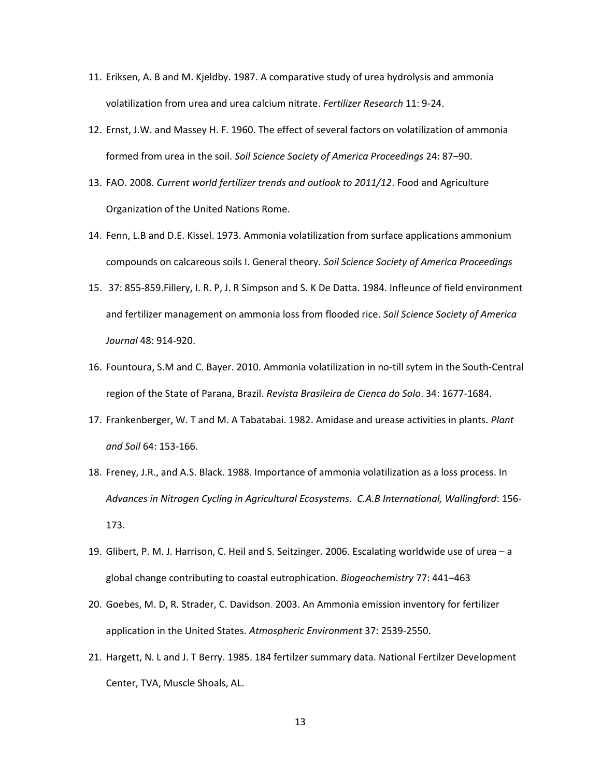- 11. Eriksen, A. B and M. Kjeldby. 1987. A comparative study of urea hydrolysis and ammonia volatilization from urea and urea calcium nitrate. *Fertilizer Research* 11: 9-24.
- 12. Ernst, J.W. and Massey H. F. 1960. The effect of several factors on volatilization of ammonia formed from urea in the soil. *Soil Science Society of America Proceedings* 24: 87–90.
- 13. FAO. 2008. *Current world fertilizer trends and outlook to 2011/12*. Food and Agriculture Organization of the United Nations Rome.
- 14. Fenn, L.B and D.E. Kissel. 1973. Ammonia volatilization from surface applications ammonium compounds on calcareous soils I. General theory. *Soil Science Society of America Proceedings*
- 15. 37: 855-859.Fillery, I. R. P, J. R Simpson and S. K De Datta. 1984. Infleunce of field environment and fertilizer management on ammonia loss from flooded rice. *Soil Science Society of America Journal* 48: 914-920.
- 16. Fountoura, S.M and C. Bayer. 2010. Ammonia volatilization in no-till sytem in the South-Central region of the State of Parana, Brazil. *Revista Brasileira de Cienca do Solo*. 34: 1677-1684.
- 17. Frankenberger, W. T and M. A Tabatabai. 1982. Amidase and urease activities in plants. *Plant and Soil* 64: 153-166.
- 18. Freney, J.R., and A.S. Black. 1988. Importance of ammonia volatilization as a loss process. In *Advances in Nitrogen Cycling in Agricultural Ecosystems*. *C.A.B International, Wallingford*: 156- 173.
- 19. Glibert, P. M. J. Harrison, C. Heil and S. Seitzinger. 2006. Escalating worldwide use of urea a global change contributing to coastal eutrophication. *Biogeochemistry* 77: 441–463
- 20. Goebes, M. D, R. Strader, C. Davidson. 2003. An Ammonia emission inventory for fertilizer application in the United States. *Atmospheric Environment* 37: 2539-2550.
- 21. Hargett, N. L and J. T Berry. 1985. 184 fertilzer summary data. National Fertilzer Development Center, TVA, Muscle Shoals, AL.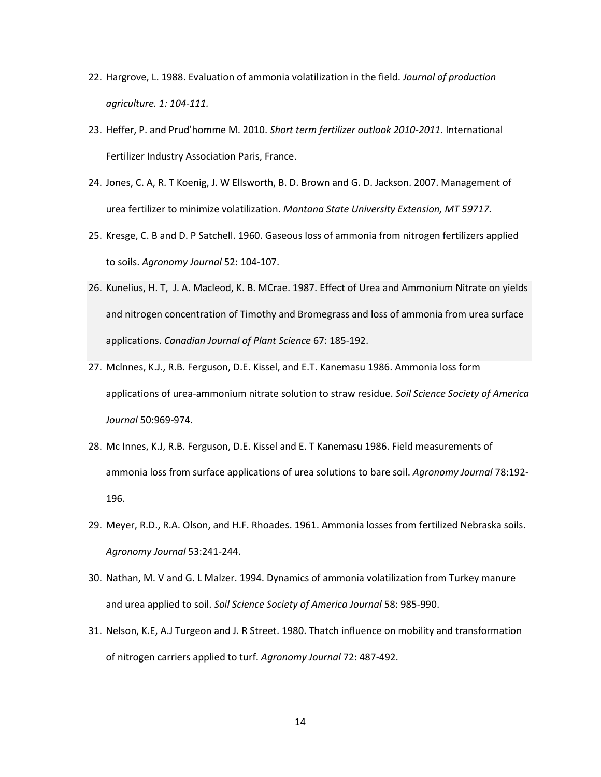- 22. Hargrove, L. 1988. Evaluation of ammonia volatilization in the field. *Journal of production agriculture. 1: 104-111.*
- 23. Heffer, P. and Prud'homme M. 2010. *Short term fertilizer outlook 2010-2011.* International Fertilizer Industry Association Paris, France.
- 24. Jones, C. A, R. T Koenig, J. W Ellsworth, B. D. Brown and G. D. Jackson. 2007. Management of urea fertilizer to minimize volatilization. *Montana State University Extension, MT 59717.*
- 25. Kresge, C. B and D. P Satchell. 1960. Gaseous loss of ammonia from nitrogen fertilizers applied to soils. *Agronomy Journal* 52: 104-107.
- 26. Kunelius, H. T, J. A. Macleod, K. B. MCrae. 1987. Effect of Urea and Ammonium Nitrate on yields and nitrogen concentration of Timothy and Bromegrass and loss of ammonia from urea surface applications. *Canadian Journal of Plant Science* 67: 185-192.
- 27. Mclnnes, K.J., R.B. Ferguson, D.E. Kissel, and E.T. Kanemasu 1986. Ammonia loss form applications of urea-ammonium nitrate solution to straw residue. *Soil Science Society of America Journal* 50:969-974.
- 28. Mc Innes, K.J, R.B. Ferguson, D.E. Kissel and E. T Kanemasu 1986. Field measurements of ammonia loss from surface applications of urea solutions to bare soil. *Agronomy Journal* 78:192- 196.
- 29. Meyer, R.D., R.A. Olson, and H.F. Rhoades. 1961. Ammonia losses from fertilized Nebraska soils. *Agronomy Journal* 53:241-244.
- 30. Nathan, M. V and G. L Malzer. 1994. Dynamics of ammonia volatilization from Turkey manure and urea applied to soil. *Soil Science Society of America Journal* 58: 985-990.
- 31. Nelson, K.E, A.J Turgeon and J. R Street. 1980. Thatch influence on mobility and transformation of nitrogen carriers applied to turf. *Agronomy Journal* 72: 487-492.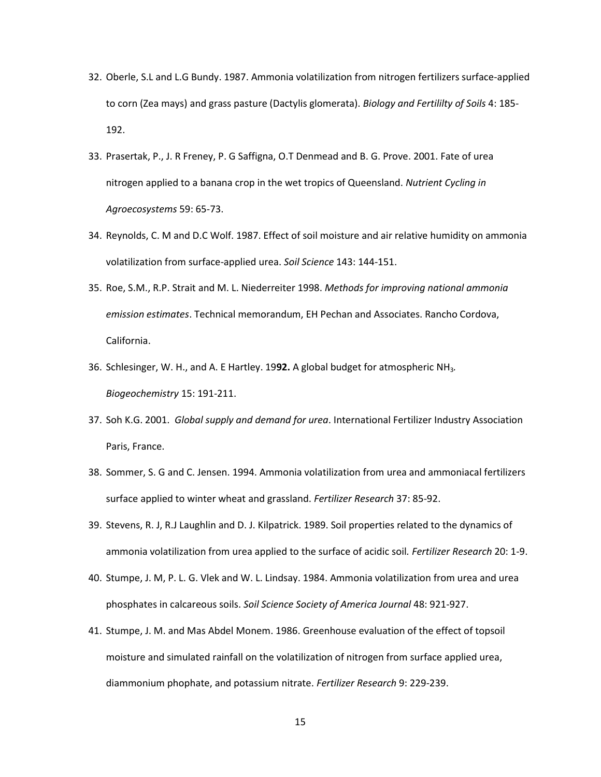- 32. Oberle, S.L and L.G Bundy. 1987. Ammonia volatilization from nitrogen fertilizers surface-applied to corn (Zea mays) and grass pasture (Dactylis glomerata). *Biology and Fertililty of Soils* 4: 185- 192.
- 33. Prasertak, P., J. R Freney, P. G Saffigna, O.T Denmead and B. G. Prove. 2001. Fate of urea nitrogen applied to a banana crop in the wet tropics of Queensland. *Nutrient Cycling in Agroecosystems* 59: 65-73.
- 34. Reynolds, C. M and D.C Wolf. 1987. Effect of soil moisture and air relative humidity on ammonia volatilization from surface-applied urea. *Soil Science* 143: 144-151.
- 35. Roe, S.M., R.P. Strait and M. L. Niederreiter 1998. *Methods for improving national ammonia emission estimates*. Technical memorandum, EH Pechan and Associates. Rancho Cordova, California.
- 36. Schlesinger, W. H., and A. E Hartley. 19**92.** A global budget for atmospheric NH3*. Biogeochemistry* 15: 191-211.
- 37. Soh K.G. 2001. *Global supply and demand for urea*. International Fertilizer Industry Association Paris, France.
- 38. Sommer, S. G and C. Jensen. 1994. Ammonia volatilization from urea and ammoniacal fertilizers surface applied to winter wheat and grassland. *Fertilizer Research* 37: 85-92.
- 39. Stevens, R. J, R.J Laughlin and D. J. Kilpatrick. 1989. Soil properties related to the dynamics of ammonia volatilization from urea applied to the surface of acidic soil*. Fertilizer Research* 20: 1-9.
- 40. Stumpe, J. M, P. L. G. Vlek and W. L. Lindsay. 1984. Ammonia volatilization from urea and urea phosphates in calcareous soils. *Soil Science Society of America Journal* 48: 921-927.
- 41. Stumpe, J. M. and Mas Abdel Monem. 1986. Greenhouse evaluation of the effect of topsoil moisture and simulated rainfall on the volatilization of nitrogen from surface applied urea, diammonium phophate, and potassium nitrate. *Fertilizer Research* 9: 229-239.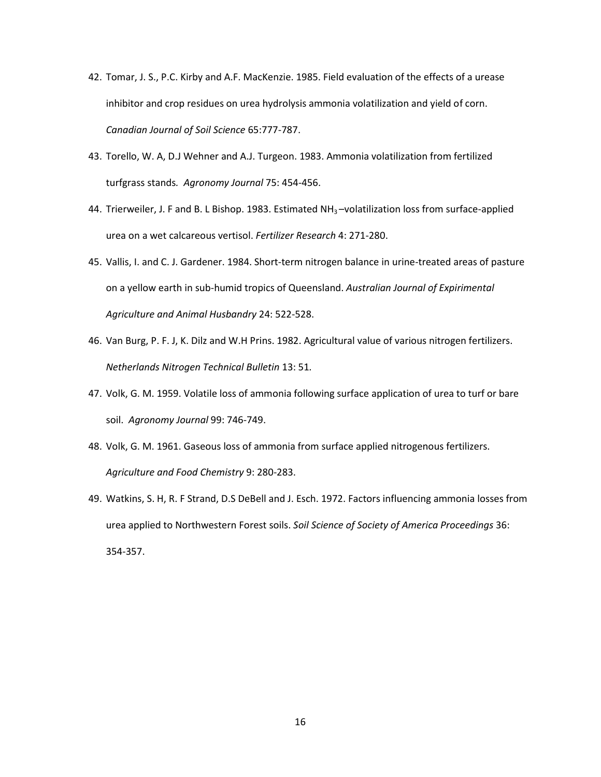- 42. Tomar, J. S., P.C. Kirby and A.F. MacKenzie. 1985. Field evaluation of the effects of a urease inhibitor and crop residues on urea hydrolysis ammonia volatilization and yield of corn. *Canadian Journal of Soil Science* 65:777-787.
- 43. Torello, W. A, D.J Wehner and A.J. Turgeon. 1983. Ammonia volatilization from fertilized turfgrass stands*. Agronomy Journal* 75: 454-456.
- 44. Trierweiler, J. F and B. L Bishop. 1983. Estimated NH<sub>3</sub>-volatilization loss from surface-applied urea on a wet calcareous vertisol. *Fertilizer Research* 4: 271-280.
- 45. Vallis, I. and C. J. Gardener. 1984. Short-term nitrogen balance in urine-treated areas of pasture on a yellow earth in sub-humid tropics of Queensland. *Australian Journal of Expirimental Agriculture and Animal Husbandry* 24: 522-528.
- 46. Van Burg, P. F. J, K. Dilz and W.H Prins. 1982. Agricultural value of various nitrogen fertilizers. *Netherlands Nitrogen Technical Bulletin* 13: 51*.*
- 47. Volk, G. M. 1959. Volatile loss of ammonia following surface application of urea to turf or bare soil. *Agronomy Journal* 99: 746-749.
- 48. Volk, G. M. 1961. Gaseous loss of ammonia from surface applied nitrogenous fertilizers. *Agriculture and Food Chemistry* 9: 280-283.
- 49. Watkins, S. H, R. F Strand, D.S DeBell and J. Esch. 1972. Factors influencing ammonia losses from urea applied to Northwestern Forest soils. *Soil Science of Society of America Proceedings* 36: 354-357.